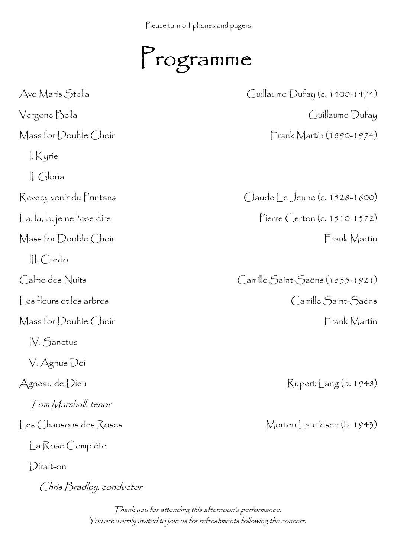Please turn off phones and pagers

Programme

Ave Maris Stella Guillaume Dufay (c. 1400-1474) Vergene Bella Guillaume Dufay Mass for Double Choir Frank Martin (1890-1974) I. Kyrie II. Gloria Revecy venir du Printans (2008) Claude Le Jeune (c. 1528-1600) La, la, la, je ne l'ose dire en establecer pour la province de Pierre Certon (c. 1510-1572) Mass for Double Choir Frank Martin III. Credo Calme des Nuits Camille Saint-Saëns (1835-1921) Les fleurs et les arbres Camille Saint-Saëns Mass for Double Choir Frank Martin IV. Sanctus V. Agnus Dei Agneau de Dieu Rupert Lang (b. 1948) Tom Marshall, tenor Les Chansons des Roses Morten Lauridsen (b. 1943) La Rose Complète Dirait-on

Chris Bradley, conductor

Thank you for attending this afternoon's performance. You are warmly invited to join us for refreshments following the concert.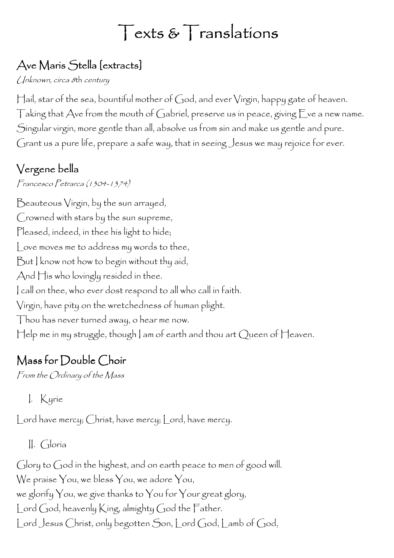# Texts & Translations

# Ave Maris Stella [extracts]

Unknown, circa 8th century

Hail, star of the sea, bountiful mother of God, and ever Virgin, happy gate of heaven. Taking that Ave from the mouth of Gabriel, preserve us in peace, giving Eve a new name. Singular virgin, more gentle than all, absolve us from sin and make us gentle and pure. Grant us a pure life, prepare a safe way, that in seeing Jesus we may rejoice for ever.

# Vergene bella

Francesco Petrarca (1304-1374)

Beauteous Virgin, by the sun arrayed, Crowned with stars by the sun supreme, Pleased, indeed, in thee his light to hide; Love moves me to address my words to thee, But I know not how to begin without thy aid, And His who lovingly resided in thee. I call on thee, who ever dost respond to all who call in faith. Virgin, have pity on the wretchedness of human plight. Thou has never turned away, o hear me now. Help me in my struggle, though I am of earth and thou art Queen of Heaven.

# Mass for Double Choir

From the Ordinary of the Mass

I. Kyrie

Lord have mercy; Christ, have mercy; Lord, have mercy.

II. Gloria

Glory to God in the highest, and on earth peace to men of good will. We praise You, we bless You, we adore You, we glorify You, we give thanks to You for Your great glory, Lord God, heavenly King, almighty God the Father. Lord Jesus Christ, only begotten Son, Lord God, Lamb of God,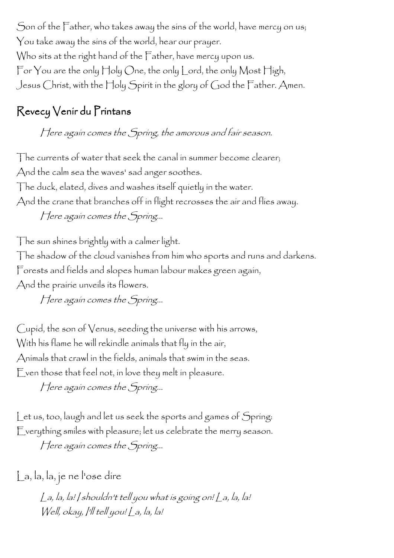Son of the Father, who takes away the sins of the world, have mercy on us; You take away the sins of the world, hear our prayer. Who sits at the right hand of the Father, have mercy upon us. For You are the only Holy One, the only Lord, the only Most High, Jesus Christ, with the Holy Spirit in the glory of God the Father. Amen.

### Revecy Venir du Printans

Here again comes the Spring, the amorous and fair season.

The currents of water that seek the canal in summer become clearer; And the calm sea the waves' sad anger soothes. The duck, elated, dives and washes itself quietly in the water. And the crane that branches off in flight recrosses the air and flies away. Here again comes the Spring...

The sun shines brightly with a calmer light. The shadow of the cloud vanishes from him who sports and runs and darkens. Forests and fields and slopes human labour makes green again, And the prairie unveils its flowers.

Here again comes the Spring...

Cupid, the son of Venus, seeding the universe with his arrows, With his flame he will rekindle animals that fly in the air, Animals that crawl in the fields, animals that swim in the seas. Even those that feel not, in love they melt in pleasure.

Here again comes the Spring...

Let us, too, laugh and let us seek the sports and games of Spring: Everything smiles with pleasure; let us celebrate the merry season.

Here again comes the Spring...

La, la, la, je ne l'ose dire

La, la, la! I shouldn't tell you what is going on! La, la, la! Well, okay, I'll tell you! La, la, la!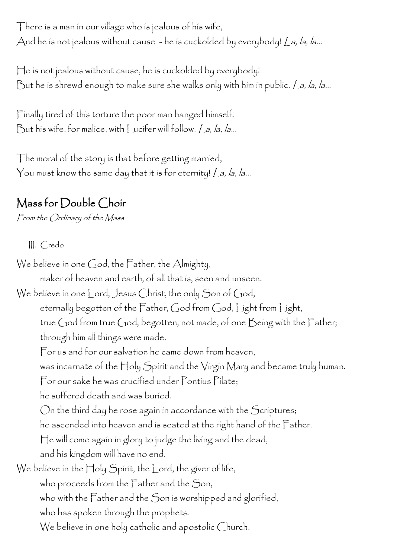There is a man in our village who is jealous of his wife, And he is not jealous without cause - he is cuckolded by everybody!  $\angle$  a, la, la...

He is not jealous without cause, he is cuckolded by everybody! But he is shrewd enough to make sure she walks only with him in public. La, la, la...

Finally tired of this torture the poor man hanged himself. But his wife, for malice, with Lucifer will follow. La, la, la...

The moral of the story is that before getting married, You must know the same day that it is for eternity! La, la, la...

# Mass for Double Choir

From the Ordinary of the Mass

III. Credo

We believe in one God, the Father, the Almighty, maker of heaven and earth, of all that is, seen and unseen. We believe in one Lord, Jesus Christ, the only Son of God, eternally begotten of the Father, God from God, Light from Light, true God from true God, begotten, not made, of one Being with the Father; through him all things were made. For us and for our salvation he came down from heaven, was incarnate of the Holy Spirit and the Virgin Mary and became truly human. For our sake he was crucified under Pontius Pilate; he suffered death and was buried. On the third day he rose again in accordance with the Scriptures; he ascended into heaven and is seated at the right hand of the Father. He will come again in glory to judge the living and the dead, and his kingdom will have no end. We believe in the Holy Spirit, the Lord, the giver of life, who proceeds from the Father and the Son, who with the Father and the Son is worshipped and glorified, who has spoken through the prophets. We believe in one holy catholic and apostolic Church.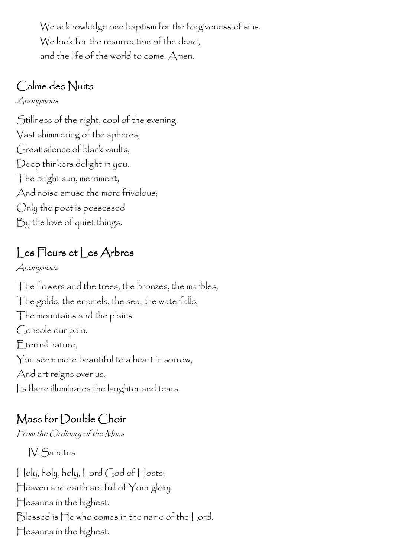We acknowledge one baptism for the forgiveness of sins. We look for the resurrection of the dead, and the life of the world to come. Amen.

### Calme des Nuits

#### Anonymous

Stillness of the night, cool of the evening, Vast shimmering of the spheres, Great silence of black vaults, Deep thinkers delight in you. The bright sun, merriment, And noise amuse the more frivolous; Only the poet is possessed By the love of quiet things.

# Les Fleurs et Les Arbres

Anonymous

The flowers and the trees, the bronzes, the marbles, The golds, the enamels, the sea, the waterfalls, The mountains and the plains Console our pain. Eternal nature, You seem more beautiful to a heart in sorrow, And art reigns over us, Its flame illuminates the laughter and tears.

### Mass for Double Choir

From the Ordinary of the Mass

IV.Sanctus

Holy, holy, holy, Lord God of Hosts; Heaven and earth are full of Your glory. Hosanna in the highest. Blessed is He who comes in the name of the Lord. Hosanna in the highest.